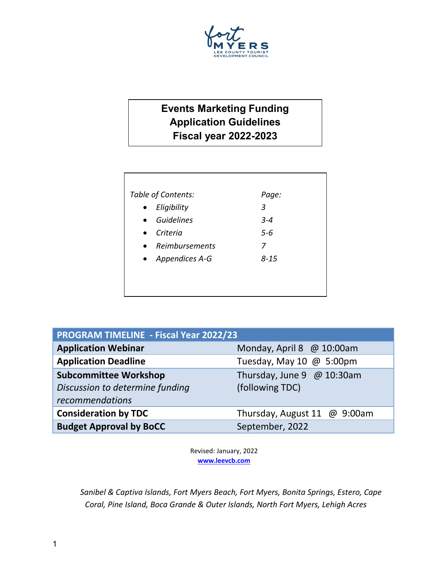

# **Events Marketing Funding Application Guidelines Fiscal year 2022-2023**

|           | Table of Contents: | Page:   |
|-----------|--------------------|---------|
|           | Eligibility        | 3       |
|           | <b>Guidelines</b>  | $3 - 4$ |
| $\bullet$ | Criteria           | $5 - 6$ |
|           | Reimbursements     | 7       |
|           | • Appendices A-G   | 8-15    |
|           |                    |         |
|           |                    |         |
|           |                    |         |

| <b>PROGRAM TIMELINE - Fiscal Year 2022/23</b> |                              |  |  |
|-----------------------------------------------|------------------------------|--|--|
| <b>Application Webinar</b>                    | Monday, April 8 @ 10:00am    |  |  |
| <b>Application Deadline</b>                   | Tuesday, May 10 @ 5:00pm     |  |  |
| <b>Subcommittee Workshop</b>                  | Thursday, June 9 $@$ 10:30am |  |  |
| Discussion to determine funding               | (following TDC)              |  |  |
| recommendations                               |                              |  |  |
| <b>Consideration by TDC</b>                   | Thursday, August 11 @ 9:00am |  |  |
| <b>Budget Approval by BoCC</b>                | September, 2022              |  |  |

Revised: January, 2022 **[www.leevcb.com](http://www.leevcb.com/)**

*Sanibel & Captiva Islands, Fort Myers Beach, Fort Myers, Bonita Springs, Estero, Cape Coral, Pine Island, Boca Grande & Outer Islands, North Fort Myers, Lehigh Acres*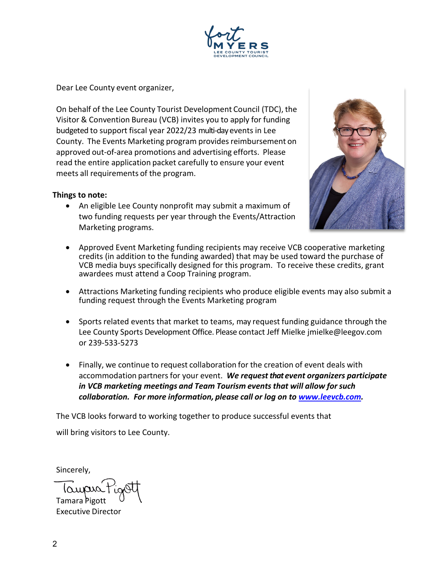

Dear Lee County event organizer,

On behalf of the Lee County Tourist Development Council (TDC), the Visitor & Convention Bureau (VCB) invites you to apply for funding budgeted to support fiscal year 2022/23 multi-day events in Lee County. The Events Marketing program provides reimbursement on approved out-of-area promotions and advertising efforts. Please read the entire application packet carefully to ensure your event meets all requirements of the program.

#### **Things to note:**

• An eligible Lee County nonprofit may submit a maximum of two funding requests per year through the Events/Attraction Marketing programs.



- Approved Event Marketing funding recipients may receive VCB cooperative marketing credits (in addition to the funding awarded) that may be used toward the purchase of VCB media buys specifically designed for this program. To receive these credits, grant awardees must attend a Coop Training program.
- Attractions Marketing funding recipients who produce eligible events may also submit a funding request through the Events Marketing program
- Sports related events that market to teams, may request funding guidance through the Lee County Sports Development Office. Please contact Jeff Mielke jmielke@leegov.com or 239-533-5273
- Finally, we continue to request collaboration for the creation of event deals with accommodation partnersfor your event. *We request that event organizers participate in VCB marketing meetings and Team Tourism eventsthat will allow for such collaboration. For more information, please call or log on to [www.leevcb.com.](http://www.leevcb.com/)*

The VCB looks forward to working together to produce successful events that

will bring visitors to Lee County.

Sincerely,

Tamara Pigott Executive Director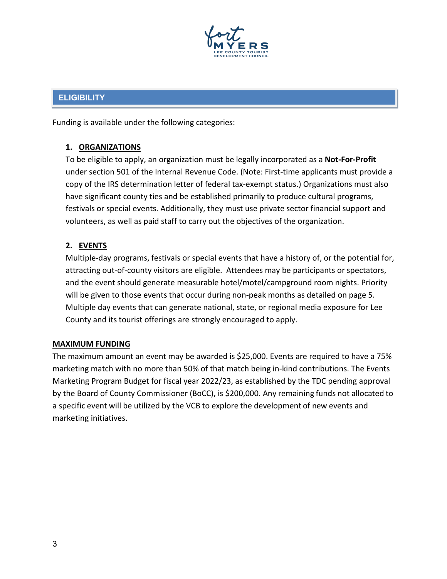

# **ELIGIBILITY**

Funding is available under the following categories:

# **1. ORGANIZATIONS**

To be eligible to apply, an organization must be legally incorporated as a **Not-For-Profit** under section 501 of the Internal Revenue Code. (Note: First-time applicants must provide a copy of the IRS determination letter of federal tax-exempt status.) Organizations must also have significant county ties and be established primarily to produce cultural programs, festivals or special events. Additionally, they must use private sector financial support and volunteers, as well as paid staff to carry out the objectives of the organization.

# **2. EVENTS**

Multiple-day programs, festivals or special events that have a history of, or the potential for, attracting out-of-county visitors are eligible. Attendees may be participants or spectators, and the event should generate measurable hotel/motel/campground room nights. Priority will be given to those events that occur during non-peak months as detailed on page 5. Multiple day events that can generate national, state, or regional media exposure for Lee County and its tourist offerings are strongly encouraged to apply.

#### **MAXIMUM FUNDING**

The maximum amount an event may be awarded is \$25,000. Events are required to have a 75% marketing match with no more than 50% of that match being in-kind contributions. The Events Marketing Program Budget for fiscal year 2022/23, as established by the TDC pending approval by the Board of County Commissioner (BoCC), is \$200,000. Any remaining funds not allocated to a specific event will be utilized by the VCB to explore the development of new events and marketing initiatives.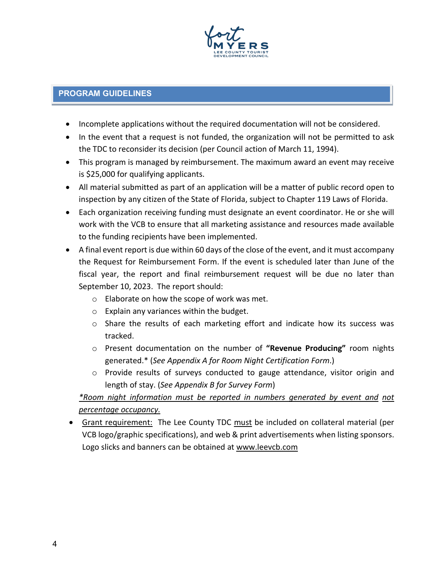

# **PROGRAM GUIDELINES**

- Incomplete applications without the required documentation will not be considered.
- In the event that a request is not funded, the organization will not be permitted to ask the TDC to reconsider its decision (per Council action of March 11, 1994).
- This program is managed by reimbursement. The maximum award an event may receive is \$25,000 for qualifying applicants.
- All material submitted as part of an application will be a matter of public record open to inspection by any citizen of the State of Florida, subject to Chapter 119 Laws of Florida.
- Each organization receiving funding must designate an event coordinator. He or she will work with the VCB to ensure that all marketing assistance and resources made available to the funding recipients have been implemented.
- A final event report is due within 60 days of the close of the event, and it must accompany the Request for Reimbursement Form. If the event is scheduled later than June of the fiscal year, the report and final reimbursement request will be due no later than September 10, 2023. The report should:
	- o Elaborate on how the scope of work was met.
	- o Explain any variances within the budget.
	- o Share the results of each marketing effort and indicate how its success was tracked.
	- o Present documentation on the number of **"Revenue Producing"** room nights generated.\* (*See Appendix A for Room Night Certification Form*.)
	- o Provide results of surveys conducted to gauge attendance, visitor origin and length of stay. (*See Appendix B for Survey Form*)

# *\*Room night information must be reported in numbers generated by event and not percentage occupancy.*

• Grant requirement: The Lee County TDC must be included on collateral material (per VCB logo/graphic specifications), and web & print advertisements when listing sponsors. Logo slicks and banners can be obtained at [www.leevcb.com](http://www.leevcb.com/)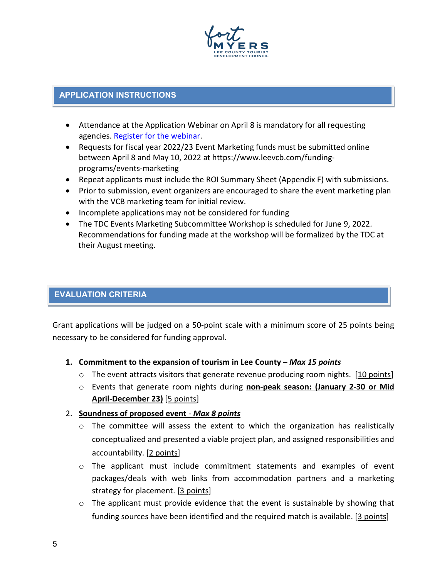

#### **APPLICATION INSTRUCTIONS**

- Attendance at the Application Webinar on April 8 is mandatory for all requesting agencies. [Register for the webinar.](https://attendee.gotowebinar.com/register/3684152723263700240)
- Requests for fiscal year 2022/23 Event Marketing funds must be submitted online between April 8 and May 10, 2022 at https://www.leevcb.com/fundingprograms/events-marketing
- Repeat applicants must include the ROI Summary Sheet (Appendix F) with submissions.
- Prior to submission, event organizers are encouraged to share the event marketing plan with the VCB marketing team for initial review.
- Incomplete applications may not be considered for funding
- The TDC Events Marketing Subcommittee Workshop is scheduled for June 9, 2022. Recommendations for funding made at the workshop will be formalized by the TDC at their August meeting.

# **EVALUATION CRITERIA**

Grant applications will be judged on a 50-point scale with a minimum score of 25 points being necessary to be considered for funding approval.

#### **1. Commitment to the expansion of tourism in Lee County –** *Max 15 points*

- $\circ$  The event attracts visitors that generate revenue producing room nights. [10 points]
- o Events that generate room nights during **non-peak season: (January 2-30 or Mid April-December 23)** [5 points]

#### 2. **Soundness of proposed event** - *Max 8 points*

- $\circ$  The committee will assess the extent to which the organization has realistically conceptualized and presented a viable project plan, and assigned responsibilities and accountability. [2 points]
- o The applicant must include commitment statements and examples of event packages/deals with web links from accommodation partners and a marketing strategy for placement. [3 points]
- $\circ$  The applicant must provide evidence that the event is sustainable by showing that funding sources have been identified and the required match is available. [3 points]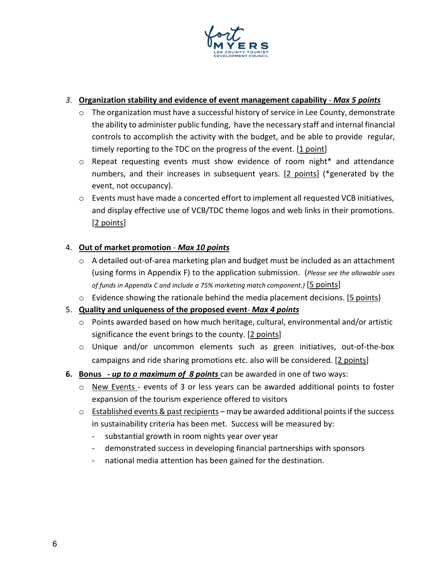

### *3.* **Organization stability and evidence of event management capability** - *Max 5 points*

- o The organization must have a successful history of service in Lee County, demonstrate the ability to administer public funding, have the necessary staff and internal financial controls to accomplish the activity with the budget, and be able to provide regular, timely reporting to the TDC on the progress of the event. [1 point]
- o Repeat requesting events must show evidence of room night\* and attendance numbers, and their increases in subsequent years. [2 points] (\*generated by the event, not occupancy).
- $\circ$  Events must have made a concerted effort to implement all requested VCB initiatives, and display effective use of VCB/TDC theme logos and web links in their promotions. [2 points]

# 4. **Out of market promotion** - *Max 10 points*

- $\circ$  A detailed out-of-area marketing plan and budget must be included as an attachment (using forms in Appendix F) to the application submission. (*Please see the allowable uses of funds in Appendix C and include a 75% marketing match component.)* [5 points]
- $\circ$  Evidence showing the rationale behind the media placement decisions. [5 points}

#### 5. **Quality and uniqueness of the proposed event**- *Max 4 points*

- o Points awarded based on how much heritage, cultural, environmental and/or artistic significance the event brings to the county. [2 points]
- o Unique and/or uncommon elements such as green initiatives, out-of-the-box campaigns and ride sharing promotions etc. also will be considered. [2 points]
- **6. Bonus -** *up to a maximum of 8 points* can be awarded in one of two ways:
	- $\circ$  New Events events of 3 or less years can be awarded additional points to foster expansion of the tourism experience offered to visitors
	- $\circ$  Established events & past recipients may be awarded additional points if the success in sustainability criteria has been met. Success will be measured by:
		- substantial growth in room nights year over year
		- demonstrated success in developing financial partnerships with sponsors
		- national media attention has been gained for the destination.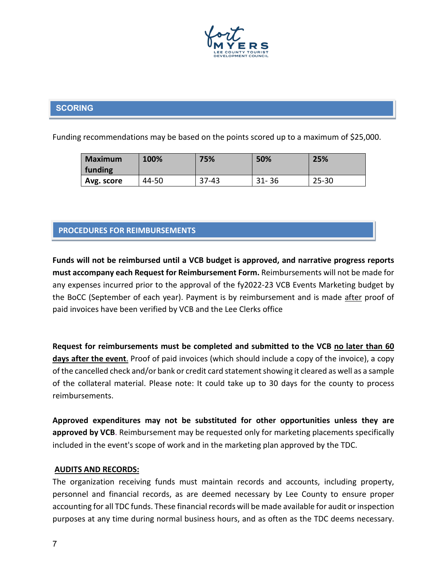

# **SCORING**

Funding recommendations may be based on the points scored up to a maximum of \$25,000.

| <b>Maximum</b><br>funding | 100%  | 75%       | 50%       | 25%       |
|---------------------------|-------|-----------|-----------|-----------|
| Avg. score                | 44-50 | $37 - 43$ | $31 - 36$ | $25 - 30$ |

# **PROCEDURES FOR REIMBURSEMENTS**

**Funds will not be reimbursed until a VCB budget is approved, and narrative progress reports must accompany each Request for Reimbursement Form.** Reimbursements will not be made for any expenses incurred prior to the approval of the fy2022-23 VCB Events Marketing budget by the BoCC (September of each year). Payment is by reimbursement and is made after proof of paid invoices have been verified by VCB and the Lee Clerks office

**Request for reimbursements must be completed and submitted to the VCB no later than 60 days after the event**. Proof of paid invoices (which should include a copy of the invoice), a copy of the cancelled check and/or bank or credit card statement showing it cleared as well as a sample of the collateral material. Please note: It could take up to 30 days for the county to process reimbursements.

**Approved expenditures may not be substituted for other opportunities unless they are approved by VCB**. Reimbursement may be requested only for marketing placements specifically included in the event's scope of work and in the marketing plan approved by the TDC.

#### **AUDITS AND RECORDS:**

The organization receiving funds must maintain records and accounts, including property, personnel and financial records, as are deemed necessary by Lee County to ensure proper accounting for all TDC funds. These financial records will be made available for audit or inspection purposes at any time during normal business hours, and as often as the TDC deems necessary.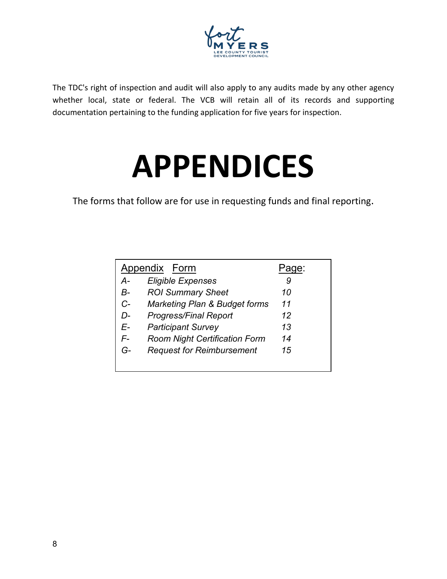

The TDC's right of inspection and audit will also apply to any audits made by any other agency whether local, state or federal. The VCB will retain all of its records and supporting documentation pertaining to the funding application for five years for inspection.

# **APPENDICES**

The forms that follow are for use in requesting funds and final reporting.

| Appendix Form | ae:                                      |    |
|---------------|------------------------------------------|----|
| A-            | <b>Eligible Expenses</b>                 | 9  |
| В-            | <b>ROI Summary Sheet</b>                 | 10 |
| $C-$          | <b>Marketing Plan &amp; Budget forms</b> | 11 |
| D-            | Progress/Final Report                    | 12 |
| E-            | <b>Participant Survey</b>                | 13 |
| F-            | <b>Room Night Certification Form</b>     | 14 |
| G-            | <b>Request for Reimbursement</b>         | 15 |
|               |                                          |    |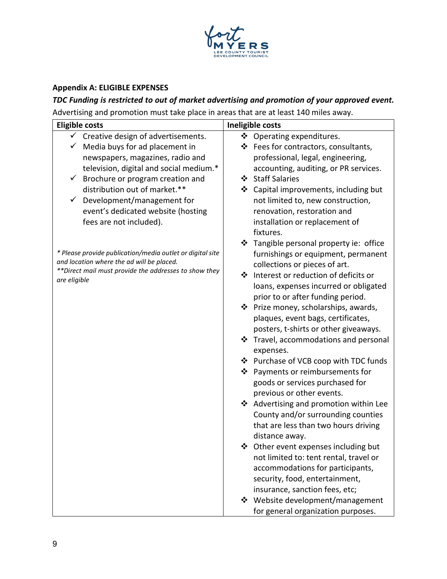

# **Appendix A: ELIGIBLE EXPENSES**

# *TDC Funding is restricted to out of market advertising and promotion of your approved event.* Advertising and promotion must take place in areas that are at least 140 miles away.

| <b>Eligible costs</b>                                     | Ineligible costs                          |
|-----------------------------------------------------------|-------------------------------------------|
| $\checkmark$ Creative design of advertisements.           | ❖ Operating expenditures.                 |
| Media buys for ad placement in                            | ❖ Fees for contractors, consultants,      |
| newspapers, magazines, radio and                          | professional, legal, engineering,         |
| television, digital and social medium.*                   | accounting, auditing, or PR services.     |
| Brochure or program creation and                          | ❖ Staff Salaries                          |
| distribution out of market.**                             | ❖ Capital improvements, including but     |
| Development/management for<br>$\checkmark$                | not limited to, new construction,         |
| event's dedicated website (hosting                        | renovation, restoration and               |
| fees are not included).                                   | installation or replacement of            |
|                                                           | fixtures.                                 |
|                                                           | Tangible personal property ie: office     |
| * Please provide publication/media outlet or digital site | furnishings or equipment, permanent       |
| and location where the ad will be placed.                 | collections or pieces of art.             |
| **Direct mail must provide the addresses to show they     | ❖<br>Interest or reduction of deficits or |
| are eligible                                              | loans, expenses incurred or obligated     |
|                                                           | prior to or after funding period.         |
|                                                           | ❖ Prize money, scholarships, awards,      |
|                                                           | plaques, event bags, certificates,        |
|                                                           | posters, t-shirts or other giveaways.     |
|                                                           | ❖ Travel, accommodations and personal     |
|                                                           | expenses.                                 |
|                                                           | ❖ Purchase of VCB coop with TDC funds     |
|                                                           | ❖ Payments or reimbursements for          |
|                                                           | goods or services purchased for           |
|                                                           | previous or other events.                 |
|                                                           | ❖ Advertising and promotion within Lee    |
|                                                           | County and/or surrounding counties        |
|                                                           | that are less than two hours driving      |
|                                                           | distance away.                            |
|                                                           | ❖ Other event expenses including but      |
|                                                           | not limited to: tent rental, travel or    |
|                                                           | accommodations for participants,          |
|                                                           | security, food, entertainment,            |
|                                                           | insurance, sanction fees, etc;            |
|                                                           | ❖ Website development/management          |
|                                                           | for general organization purposes.        |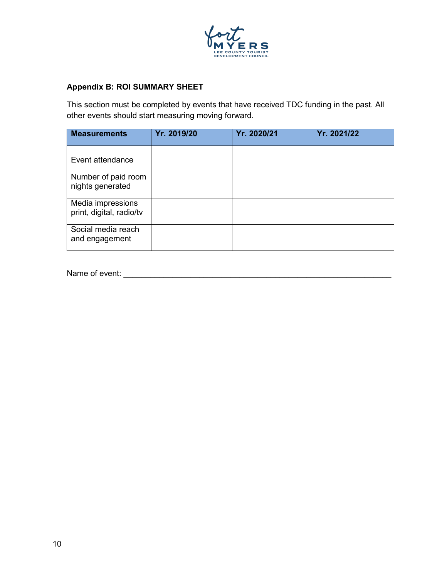

# **Appendix B: ROI SUMMARY SHEET**

This section must be completed by events that have received TDC funding in the past. All other events should start measuring moving forward.

| <b>Measurements</b>                           | Yr. 2019/20 | Yr. 2020/21 | Yr. 2021/22 |
|-----------------------------------------------|-------------|-------------|-------------|
| Event attendance                              |             |             |             |
| Number of paid room<br>nights generated       |             |             |             |
| Media impressions<br>print, digital, radio/tv |             |             |             |
| Social media reach<br>and engagement          |             |             |             |

Name of event: \_\_\_\_\_\_\_\_\_\_\_\_\_\_\_\_\_\_\_\_\_\_\_\_\_\_\_\_\_\_\_\_\_\_\_\_\_\_\_\_\_\_\_\_\_\_\_\_\_\_\_\_\_\_\_\_\_\_\_\_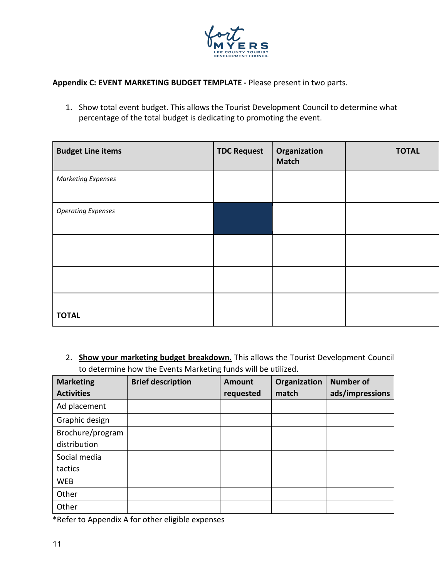

**Appendix C: EVENT MARKETING BUDGET TEMPLATE -** Please present in two parts.

1. Show total event budget. This allows the Tourist Development Council to determine what percentage of the total budget is dedicating to promoting the event.

| <b>Budget Line items</b>  | <b>TDC Request</b> | Organization<br><b>Match</b> | <b>TOTAL</b> |
|---------------------------|--------------------|------------------------------|--------------|
| <b>Marketing Expenses</b> |                    |                              |              |
| <b>Operating Expenses</b> |                    |                              |              |
|                           |                    |                              |              |
|                           |                    |                              |              |
| <b>TOTAL</b>              |                    |                              |              |

2. **Show your marketing budget breakdown.** This allows the Tourist Development Council to determine how the Events Marketing funds will be utilized.

| <b>Marketing</b>  | <b>Brief description</b> | <b>Amount</b> | Organization | <b>Number of</b> |
|-------------------|--------------------------|---------------|--------------|------------------|
| <b>Activities</b> |                          | requested     | match        | ads/impressions  |
| Ad placement      |                          |               |              |                  |
| Graphic design    |                          |               |              |                  |
| Brochure/program  |                          |               |              |                  |
| distribution      |                          |               |              |                  |
| Social media      |                          |               |              |                  |
| tactics           |                          |               |              |                  |
| <b>WEB</b>        |                          |               |              |                  |
| Other             |                          |               |              |                  |
| Other             |                          |               |              |                  |

\*Refer to Appendix A for other eligible expenses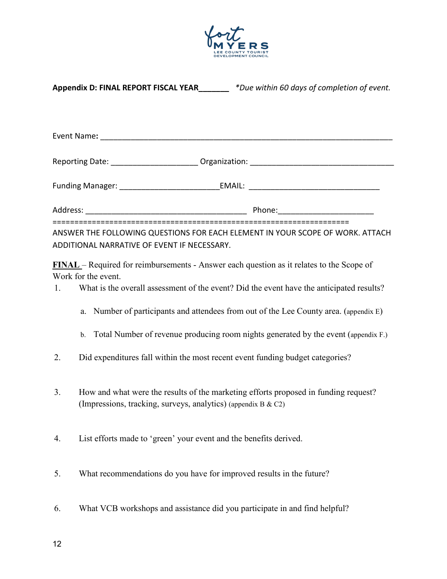

| Appendix D: FINAL REPORT FISCAL YEAR______ *Due within 60 days of completion of event. |                                                                                                                                                                                                                                                                                                             |  |  |  |
|----------------------------------------------------------------------------------------|-------------------------------------------------------------------------------------------------------------------------------------------------------------------------------------------------------------------------------------------------------------------------------------------------------------|--|--|--|
|                                                                                        |                                                                                                                                                                                                                                                                                                             |  |  |  |
|                                                                                        |                                                                                                                                                                                                                                                                                                             |  |  |  |
|                                                                                        |                                                                                                                                                                                                                                                                                                             |  |  |  |
|                                                                                        |                                                                                                                                                                                                                                                                                                             |  |  |  |
|                                                                                        | ANSWER THE FOLLOWING QUESTIONS FOR EACH ELEMENT IN YOUR SCOPE OF WORK. ATTACH<br>ADDITIONAL NARRATIVE OF EVENT IF NECESSARY.                                                                                                                                                                                |  |  |  |
| 1.                                                                                     | <b>FINAL</b> – Required for reimbursements - Answer each question as it relates to the Scope of<br>Work for the event.<br>What is the overall assessment of the event? Did the event have the anticipated results?<br>a. Number of participants and attendees from out of the Lee County area. (appendix E) |  |  |  |
|                                                                                        | b. Total Number of revenue producing room nights generated by the event (appendix F.)                                                                                                                                                                                                                       |  |  |  |
| 2.                                                                                     | Did expenditures fall within the most recent event funding budget categories?                                                                                                                                                                                                                               |  |  |  |
| 3.                                                                                     | How and what were the results of the marketing efforts proposed in funding request?<br>(Impressions, tracking, surveys, analytics) (appendix B & C2)                                                                                                                                                        |  |  |  |
| 4.                                                                                     | List efforts made to 'green' your event and the benefits derived.                                                                                                                                                                                                                                           |  |  |  |
| 5.                                                                                     | What recommendations do you have for improved results in the future?                                                                                                                                                                                                                                        |  |  |  |
| 6.                                                                                     | What VCB workshops and assistance did you participate in and find helpful?                                                                                                                                                                                                                                  |  |  |  |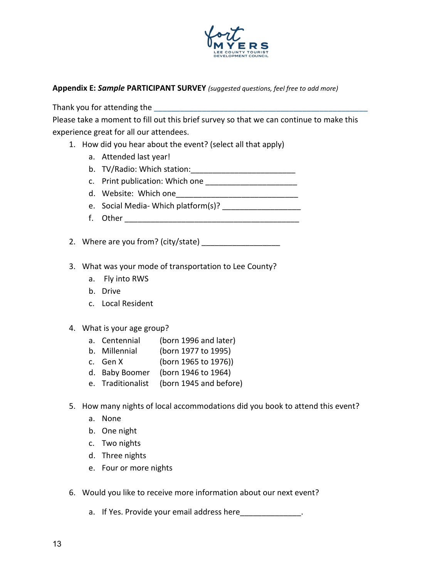

#### **Appendix E:** *Sample* **PARTICIPANT SURVEY** *(suggested questions, feel free to add more)*

Thank you for attending the **\_\_\_\_\_\_\_\_\_\_\_\_\_\_\_\_\_\_\_\_\_\_\_\_\_\_\_\_\_\_\_\_\_\_\_\_\_\_\_\_\_\_\_\_\_\_\_\_\_**

Please take a moment to fill out this brief survey so that we can continue to make this experience great for all our attendees.

- 1. How did you hear about the event? (select all that apply)
	- a. Attended last year!
	- b. TV/Radio: Which station:
	- c. Print publication: Which one \_\_\_\_\_\_\_\_\_\_\_\_\_\_\_\_\_\_\_\_\_
	- d. Website: Which one
	- e. Social Media- Which platform(s)?
	- f. Other \_\_\_\_\_\_\_\_\_\_\_\_\_\_\_\_\_\_\_\_\_\_\_\_\_\_\_\_\_\_\_\_\_\_\_\_\_\_\_\_

2. Where are you from? (city/state)

- 3. What was your mode of transportation to Lee County?
	- a. Fly into RWS
	- b. Drive
	- c. Local Resident
- 4. What is your age group?
	- a. Centennial (born 1996 and later)
	- b. Millennial (born 1977 to 1995)
	- c. Gen X (born 1965 to 1976))
	- d. Baby Boomer (born 1946 to 1964)
	- e. Traditionalist (born 1945 and before)
- 5. How many nights of local accommodations did you book to attend this event?
	- a. None
	- b. One night
	- c. Two nights
	- d. Three nights
	- e. Four or more nights
- 6. Would you like to receive more information about our next event?
	- a. If Yes. Provide your email address here  $\qquad \qquad$ .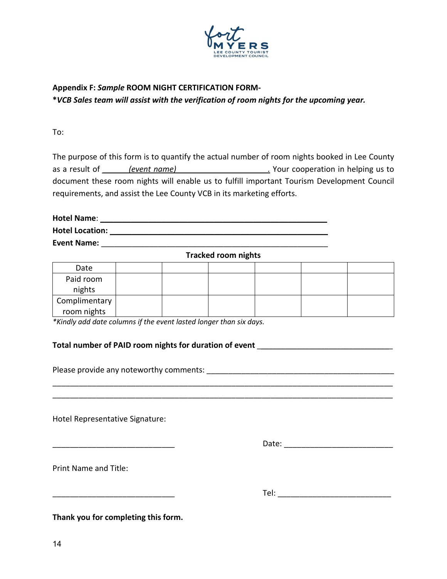

# **Appendix F:** *Sample* **ROOM NIGHT CERTIFICATION FORM-**

**\****VCB Sales team will assist with the verification of room nights for the upcoming year.*

To:

The purpose of this form is to quantify the actual number of room nights booked in Lee County as a result of *(event name)* as a result of *a* event name) as a result of  $\overline{a}$ document these room nights will enable us to fulfill important Tourism Development Council requirements, and assist the Lee County VCB in its marketing efforts.

**Hotel Name**: \_\_\_\_\_\_\_\_\_\_\_\_\_\_\_\_\_\_\_\_\_\_\_\_\_\_\_\_\_\_\_\_\_\_\_\_\_\_\_\_\_\_\_\_\_\_\_\_\_\_\_\_ **Hotel Location:** \_\_\_\_\_\_\_\_\_\_\_\_\_\_\_\_\_\_\_\_\_\_\_\_\_\_\_\_\_\_\_\_\_\_\_\_\_\_\_\_\_\_\_\_\_\_\_\_\_\_ **Event Name:** \_\_\_\_\_\_\_\_\_\_\_\_\_\_\_\_\_\_\_\_\_\_\_\_\_\_\_\_\_\_\_\_\_\_\_\_\_\_\_\_\_\_\_\_\_\_\_\_\_\_\_\_

**Tracked room nights**

| Date          |  |  |  |
|---------------|--|--|--|
| Paid room     |  |  |  |
| nights        |  |  |  |
| Complimentary |  |  |  |
| room nights   |  |  |  |

\_\_\_\_\_\_\_\_\_\_\_\_\_\_\_\_\_\_\_\_\_\_\_\_\_\_\_\_\_\_\_\_\_\_\_\_\_\_\_\_\_\_\_\_\_\_\_\_\_\_\_\_\_\_\_\_\_\_\_\_\_\_\_\_\_\_\_\_\_\_\_\_\_\_\_\_\_\_ \_\_\_\_\_\_\_\_\_\_\_\_\_\_\_\_\_\_\_\_\_\_\_\_\_\_\_\_\_\_\_\_\_\_\_\_\_\_\_\_\_\_\_\_\_\_\_\_\_\_\_\_\_\_\_\_\_\_\_\_\_\_\_\_\_\_\_\_\_\_\_\_\_\_\_\_\_\_

*\*Kindly add date columns if the event lasted longer than six days.*

#### Total number of PAID room nights for duration of event \_\_\_\_\_\_\_\_\_\_\_\_\_\_\_\_\_\_\_\_\_\_\_\_\_

Please provide any noteworthy comments:  $\blacksquare$ 

Hotel Representative Signature:

\_\_\_\_\_\_\_\_\_\_\_\_\_\_\_\_\_\_\_\_\_\_\_\_\_\_\_\_ Date: \_\_\_\_\_\_\_\_\_\_\_\_\_\_\_\_\_\_\_\_\_\_\_\_\_

Print Name and Title:

\_\_\_\_\_\_\_\_\_\_\_\_\_\_\_\_\_\_\_\_\_\_\_\_\_\_\_\_ Tel: \_\_\_\_\_\_\_\_\_\_\_\_\_\_\_\_\_\_\_\_\_\_\_\_\_\_

**Thank you for completing this form.**